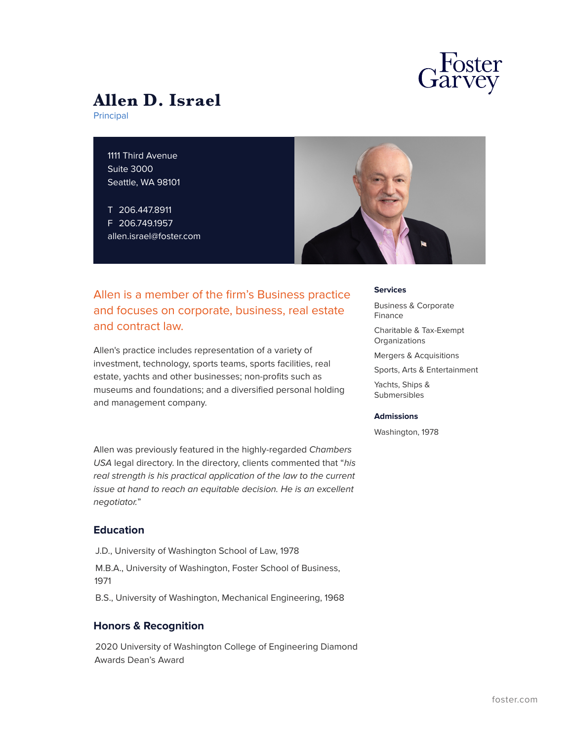

# **Allen D. Israel**

Principal

1111 Third Avenue Suite 3000 Seattle, WA 98101

T 206.447.8911 F 206.749.1957 allen.israel@foster.com



## Allen is a member of the firm's Business practice and focuses on corporate, business, real estate and contract law.

Allen's practice includes representation of a variety of investment, technology, sports teams, sports facilities, real estate, yachts and other businesses; non-profits such as museums and foundations; and a diversified personal holding and management company.

Allen was previously featured in the highly-regarded *Chambers USA* legal directory. In the directory, clients commented that "*his real strength is his practical application of the law to the current issue at hand to reach an equitable decision. He is an excellent negotiator.*"

## **Education**

- J.D., University of Washington School of Law, 1978
- M.B.A., University of Washington, Foster School of Business, 1971
- B.S., University of Washington, Mechanical Engineering, 1968

#### **Honors & Recognition**

2020 University of Washington College of Engineering Diamond Awards Dean's Award

#### **Services**

Business & Corporate Finance

Charitable & Tax-Exempt **Organizations** 

Mergers & Acquisitions

Sports, Arts & Entertainment

Yachts, Ships & Submersibles

#### **Admissions**

Washington, 1978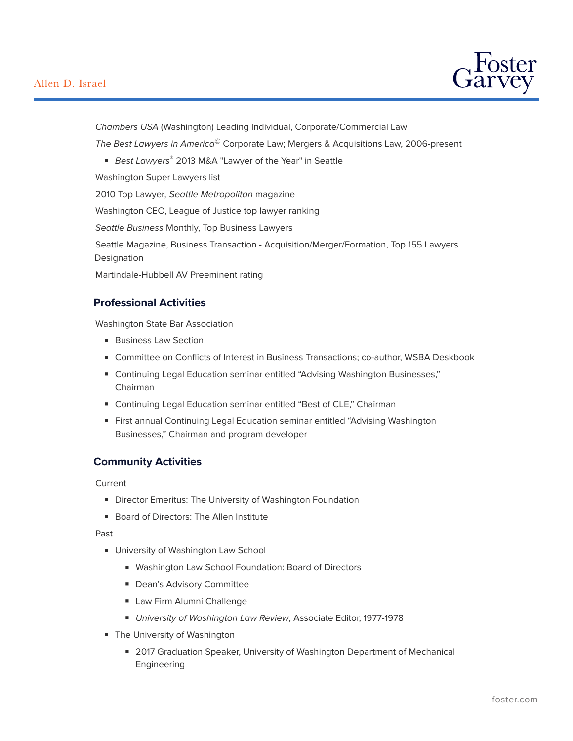## Allen D. Israel



*Chambers USA* (Washington) Leading Individual, Corporate/Commercial Law

*The Best Lawyers in America©* Corporate Law; Mergers & Acquisitions Law, 2006-present

■ *Best Lawyers®* 2013 M&A "Lawyer of the Year" in Seattle

Washington Super Lawyers list

2010 Top Lawyer*, Seattle Metropolitan* magazine

Washington CEO, League of Justice top lawyer ranking

*Seattle Business* Monthly, Top Business Lawyers

Seattle Magazine, Business Transaction - Acquisition/Merger/Formation, Top 155 Lawyers Designation

Martindale-Hubbell AV Preeminent rating

#### **Professional Activities**

Washington State Bar Association

- Business Law Section
- Committee on Conflicts of Interest in Business Transactions; co-author, WSBA Deskbook
- Continuing Legal Education seminar entitled "Advising Washington Businesses," Chairman
- Continuing Legal Education seminar entitled "Best of CLE," Chairman
- First annual Continuing Legal Education seminar entitled "Advising Washington Businesses," Chairman and program developer

#### **Community Activities**

Current

- Director Emeritus: The University of Washington Foundation
- Board of Directors: The Allen Institute

Past

- University of Washington Law School
	- Washington Law School Foundation: Board of Directors
	- Dean's Advisory Committee
	- Law Firm Alumni Challenge
	- *University of Washington Law Review*, Associate Editor, 1977-1978
- The University of Washington
	- 2017 Graduation Speaker, University of Washington Department of Mechanical Engineering